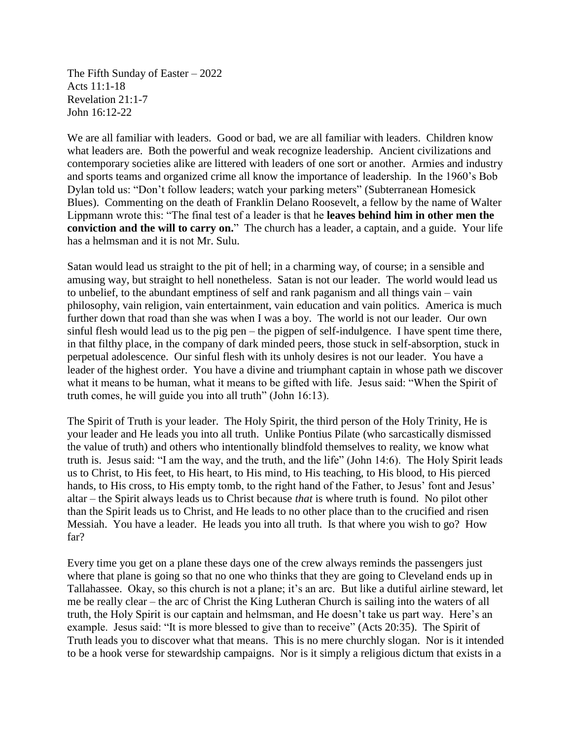The Fifth Sunday of Easter – 2022 Acts 11:1-18 Revelation 21:1-7 John 16:12-22

We are all familiar with leaders. Good or bad, we are all familiar with leaders. Children know what leaders are. Both the powerful and weak recognize leadership. Ancient civilizations and contemporary societies alike are littered with leaders of one sort or another. Armies and industry and sports teams and organized crime all know the importance of leadership. In the 1960's Bob Dylan told us: "Don't follow leaders; watch your parking meters" (Subterranean Homesick Blues). Commenting on the death of Franklin Delano Roosevelt, a fellow by the name of Walter Lippmann wrote this: "The final test of a leader is that he **leaves behind him in other men the conviction and the will to carry on.**" The church has a leader, a captain, and a guide. Your life has a helmsman and it is not Mr. Sulu.

Satan would lead us straight to the pit of hell; in a charming way, of course; in a sensible and amusing way, but straight to hell nonetheless. Satan is not our leader. The world would lead us to unbelief, to the abundant emptiness of self and rank paganism and all things vain – vain philosophy, vain religion, vain entertainment, vain education and vain politics. America is much further down that road than she was when I was a boy. The world is not our leader. Our own sinful flesh would lead us to the pig pen – the pigpen of self-indulgence. I have spent time there, in that filthy place, in the company of dark minded peers, those stuck in self-absorption, stuck in perpetual adolescence. Our sinful flesh with its unholy desires is not our leader. You have a leader of the highest order. You have a divine and triumphant captain in whose path we discover what it means to be human, what it means to be gifted with life. Jesus said: "When the Spirit of truth comes, he will guide you into all truth" (John 16:13).

The Spirit of Truth is your leader. The Holy Spirit, the third person of the Holy Trinity, He is your leader and He leads you into all truth. Unlike Pontius Pilate (who sarcastically dismissed the value of truth) and others who intentionally blindfold themselves to reality, we know what truth is. Jesus said: "I am the way, and the truth, and the life" (John 14:6). The Holy Spirit leads us to Christ, to His feet, to His heart, to His mind, to His teaching, to His blood, to His pierced hands, to His cross, to His empty tomb, to the right hand of the Father, to Jesus' font and Jesus' altar – the Spirit always leads us to Christ because *that* is where truth is found. No pilot other than the Spirit leads us to Christ, and He leads to no other place than to the crucified and risen Messiah. You have a leader. He leads you into all truth. Is that where you wish to go? How far?

Every time you get on a plane these days one of the crew always reminds the passengers just where that plane is going so that no one who thinks that they are going to Cleveland ends up in Tallahassee. Okay, so this church is not a plane; it's an arc. But like a dutiful airline steward, let me be really clear – the arc of Christ the King Lutheran Church is sailing into the waters of all truth, the Holy Spirit is our captain and helmsman, and He doesn't take us part way. Here's an example. Jesus said: "It is more blessed to give than to receive" (Acts 20:35). The Spirit of Truth leads you to discover what that means. This is no mere churchly slogan. Nor is it intended to be a hook verse for stewardship campaigns. Nor is it simply a religious dictum that exists in a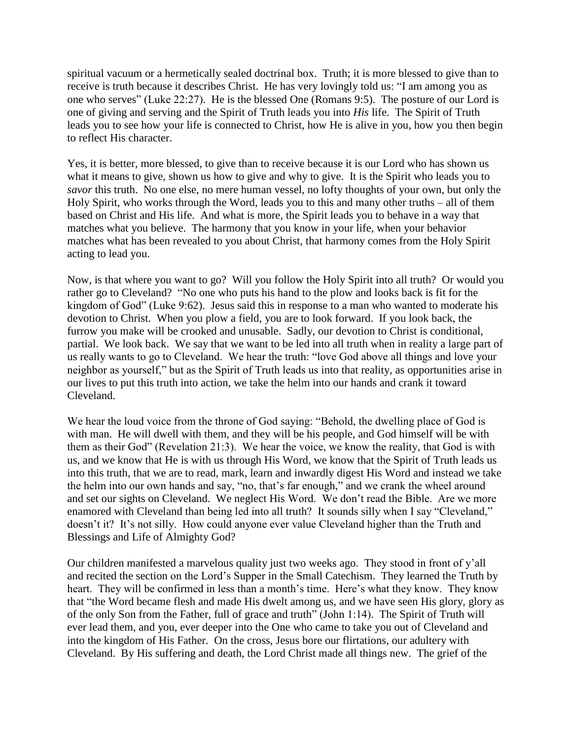spiritual vacuum or a hermetically sealed doctrinal box. Truth; it is more blessed to give than to receive is truth because it describes Christ. He has very lovingly told us: "I am among you as one who serves" (Luke 22:27). He is the blessed One (Romans 9:5). The posture of our Lord is one of giving and serving and the Spirit of Truth leads you into *His* life. The Spirit of Truth leads you to see how your life is connected to Christ, how He is alive in you, how you then begin to reflect His character.

Yes, it is better, more blessed, to give than to receive because it is our Lord who has shown us what it means to give, shown us how to give and why to give. It is the Spirit who leads you to *savor* this truth. No one else, no mere human vessel, no lofty thoughts of your own, but only the Holy Spirit, who works through the Word, leads you to this and many other truths – all of them based on Christ and His life. And what is more, the Spirit leads you to behave in a way that matches what you believe. The harmony that you know in your life, when your behavior matches what has been revealed to you about Christ, that harmony comes from the Holy Spirit acting to lead you.

Now, is that where you want to go? Will you follow the Holy Spirit into all truth? Or would you rather go to Cleveland? "No one who puts his hand to the plow and looks back is fit for the kingdom of God" (Luke 9:62). Jesus said this in response to a man who wanted to moderate his devotion to Christ. When you plow a field, you are to look forward. If you look back, the furrow you make will be crooked and unusable. Sadly, our devotion to Christ is conditional, partial. We look back. We say that we want to be led into all truth when in reality a large part of us really wants to go to Cleveland. We hear the truth: "love God above all things and love your neighbor as yourself," but as the Spirit of Truth leads us into that reality, as opportunities arise in our lives to put this truth into action, we take the helm into our hands and crank it toward Cleveland.

We hear the loud voice from the throne of God saying: "Behold, the dwelling place of God is with man. He will dwell with them, and they will be his people, and God himself will be with them as their God" (Revelation 21:3). We hear the voice, we know the reality, that God is with us, and we know that He is with us through His Word, we know that the Spirit of Truth leads us into this truth, that we are to read, mark, learn and inwardly digest His Word and instead we take the helm into our own hands and say, "no, that's far enough," and we crank the wheel around and set our sights on Cleveland. We neglect His Word. We don't read the Bible. Are we more enamored with Cleveland than being led into all truth? It sounds silly when I say "Cleveland," doesn't it? It's not silly. How could anyone ever value Cleveland higher than the Truth and Blessings and Life of Almighty God?

Our children manifested a marvelous quality just two weeks ago. They stood in front of y'all and recited the section on the Lord's Supper in the Small Catechism. They learned the Truth by heart. They will be confirmed in less than a month's time. Here's what they know. They know that "the Word became flesh and made His dwelt among us, and we have seen His glory, glory as of the only Son from the Father, full of grace and truth" (John 1:14). The Spirit of Truth will ever lead them, and you, ever deeper into the One who came to take you out of Cleveland and into the kingdom of His Father. On the cross, Jesus bore our flirtations, our adultery with Cleveland. By His suffering and death, the Lord Christ made all things new. The grief of the